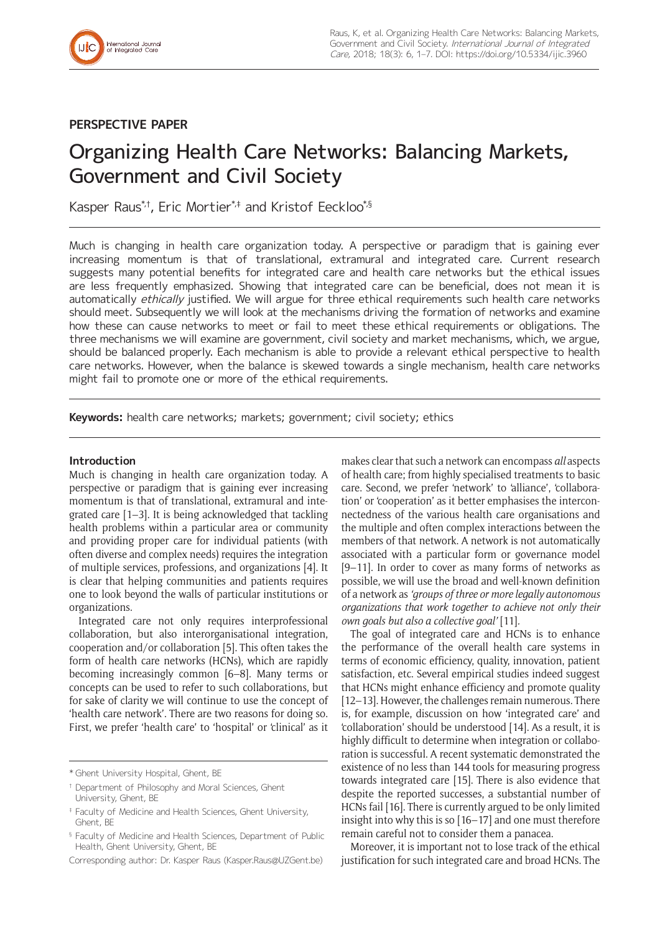

## **PERSPECTIVE PAPER**

# Organizing Health Care Networks: Balancing Markets, Government and Civil Society

Kasper Raus<sup>\*,†</sup>, Eric Mortier<sup>\*,‡</sup> and Kristof Eeckloo<sup>\*,§</sup>

Much is changing in health care organization today. A perspective or paradigm that is gaining ever increasing momentum is that of translational, extramural and integrated care. Current research suggests many potential benefits for integrated care and health care networks but the ethical issues are less frequently emphasized. Showing that integrated care can be beneficial, does not mean it is automatically ethically justified. We will argue for three ethical requirements such health care networks should meet. Subsequently we will look at the mechanisms driving the formation of networks and examine how these can cause networks to meet or fail to meet these ethical requirements or obligations. The three mechanisms we will examine are government, civil society and market mechanisms, which, we argue, should be balanced properly. Each mechanism is able to provide a relevant ethical perspective to health care networks. However, when the balance is skewed towards a single mechanism, health care networks might fail to promote one or more of the ethical requirements.

**Keywords:** health care networks; markets; government; civil society; ethics

## **Introduction**

Much is changing in health care organization today. A perspective or paradigm that is gaining ever increasing momentum is that of translational, extramural and integrated care [1–3]. It is being acknowledged that tackling health problems within a particular area or community and providing proper care for individual patients (with often diverse and complex needs) requires the integration of multiple services, professions, and organizations [4]. It is clear that helping communities and patients requires one to look beyond the walls of particular institutions or organizations.

Integrated care not only requires interprofessional collaboration, but also interorganisational integration, cooperation and/or collaboration [5]. This often takes the form of health care networks (HCNs), which are rapidly becoming increasingly common [6–8]. Many terms or concepts can be used to refer to such collaborations, but for sake of clarity we will continue to use the concept of 'health care network'. There are two reasons for doing so. First, we prefer 'health care' to 'hospital' or 'clinical' as it

Corresponding author: Dr. Kasper Raus [\(Kasper.Raus@UZGent.be](mailto:Kasper.Raus@UZGent.be))

makes clear that such a network can encompass *all* aspects of health care; from highly specialised treatments to basic care. Second, we prefer 'network' to 'alliance', 'collaboration' or 'cooperation' as it better emphasises the interconnectedness of the various health care organisations and the multiple and often complex interactions between the members of that network. A network is not automatically associated with a particular form or governance model [9–11]. In order to cover as many forms of networks as possible, we will use the broad and well-known definition of a network as *'groups of three or more legally autonomous organizations that work together to achieve not only their own goals but also a collective goal'* [11]*.* 

The goal of integrated care and HCNs is to enhance the performance of the overall health care systems in terms of economic efficiency, quality, innovation, patient satisfaction, etc. Several empirical studies indeed suggest that HCNs might enhance efficiency and promote quality [12–13]. However, the challenges remain numerous. There is, for example, discussion on how 'integrated care' and 'collaboration' should be understood [14]. As a result, it is highly difficult to determine when integration or collaboration is successful. A recent systematic demonstrated the existence of no less than 144 tools for measuring progress towards integrated care [15]. There is also evidence that despite the reported successes, a substantial number of HCNs fail [16]. There is currently argued to be only limited insight into why this is so [16–17] and one must therefore remain careful not to consider them a panacea.

Moreover, it is important not to lose track of the ethical justification for such integrated care and broad HCNs. The

<sup>\*</sup> Ghent University Hospital, Ghent, BE

<sup>†</sup> Department of Philosophy and Moral Sciences, Ghent University, Ghent, BE

<sup>‡</sup> Faculty of Medicine and Health Sciences, Ghent University, Ghent, BE

<sup>§</sup> Faculty of Medicine and Health Sciences, Department of Public Health, Ghent University, Ghent, BE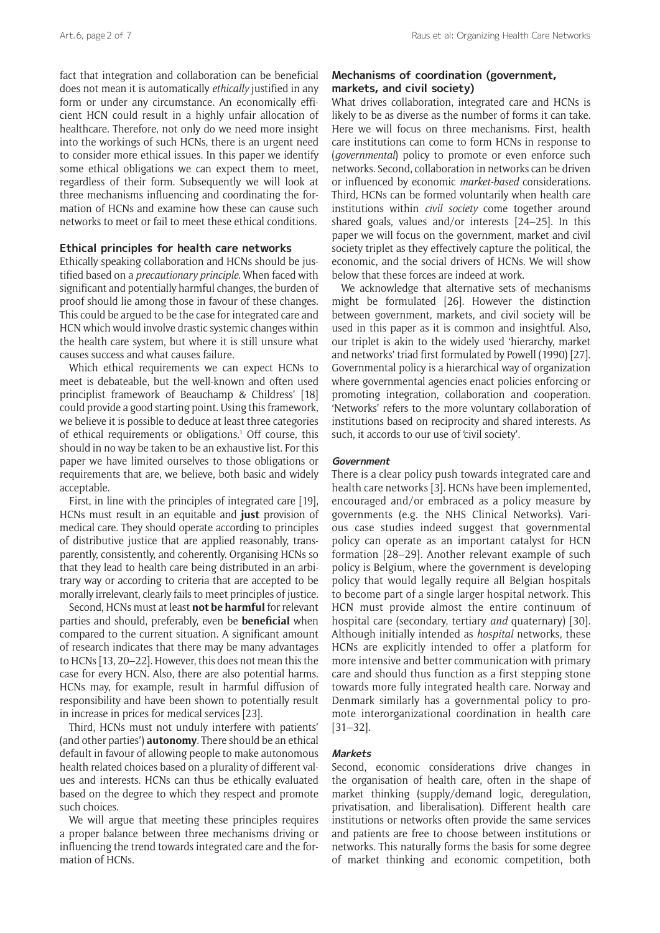fact that integration and collaboration can be beneficial does not mean it is automatically *ethically* justified in any form or under any circumstance. An economically efficient HCN could result in a highly unfair allocation of healthcare. Therefore, not only do we need more insight into the workings of such HCNs, there is an urgent need to consider more ethical issues. In this paper we identify some ethical obligations we can expect them to meet, regardless of their form. Subsequently we will look at three mechanisms influencing and coordinating the formation of HCNs and examine how these can cause such networks to meet or fail to meet these ethical conditions.

## **Ethical principles for health care networks**

Ethically speaking collaboration and HCNs should be justified based on a *precautionary principle*. When faced with significant and potentially harmful changes, the burden of proof should lie among those in favour of these changes. This could be argued to be the case for integrated care and HCN which would involve drastic systemic changes within the health care system, but where it is still unsure what causes success and what causes failure.

Which ethical requirements we can expect HCNs to meet is debateable, but the well-known and often used principlist framework of Beauchamp & Childress' [18] could provide a good starting point. Using this framework, we believe it is possible to deduce at least three categories of ethical requirements or obligations.<sup>1</sup> Off course, this should in no way be taken to be an exhaustive list. For this paper we have limited ourselves to those obligations or requirements that are, we believe, both basic and widely acceptable.

First, in line with the principles of integrated care [19], HCNs must result in an equitable and **just** provision of medical care. They should operate according to principles of distributive justice that are applied reasonably, transparently, consistently, and coherently. Organising HCNs so that they lead to health care being distributed in an arbitrary way or according to criteria that are accepted to be morally irrelevant, clearly fails to meet principles of justice.

Second, HCNs must at least **not be harmful** for relevant parties and should, preferably, even be **beneficial** when compared to the current situation. A significant amount of research indicates that there may be many advantages to HCNs [13, 20–22]. However, this does not mean this the case for every HCN. Also, there are also potential harms. HCNs may, for example, result in harmful diffusion of responsibility and have been shown to potentially result in increase in prices for medical services [23].

Third, HCNs must not unduly interfere with patients' (and other parties') **autonomy**. There should be an ethical default in favour of allowing people to make autonomous health related choices based on a plurality of different values and interests. HCNs can thus be ethically evaluated based on the degree to which they respect and promote such choices.

We will argue that meeting these principles requires a proper balance between three mechanisms driving or influencing the trend towards integrated care and the formation of HCNs.

## **Mechanisms of coordination (government, markets, and civil society)**

What drives collaboration, integrated care and HCNs is likely to be as diverse as the number of forms it can take. Here we will focus on three mechanisms. First, health care institutions can come to form HCNs in response to (*governmental*) policy to promote or even enforce such networks. Second, collaboration in networks can be driven or influenced by economic *market-based* considerations. Third, HCNs can be formed voluntarily when health care institutions within *civil society* come together around shared goals, values and/or interests [24–25]. In this paper we will focus on the government, market and civil society triplet as they effectively capture the political, the economic, and the social drivers of HCNs. We will show below that these forces are indeed at work.

We acknowledge that alternative sets of mechanisms might be formulated [26]. However the distinction between government, markets, and civil society will be used in this paper as it is common and insightful. Also, our triplet is akin to the widely used 'hierarchy, market and networks' triad first formulated by Powell (1990) [27]. Governmental policy is a hierarchical way of organization where governmental agencies enact policies enforcing or promoting integration, collaboration and cooperation. 'Networks' refers to the more voluntary collaboration of institutions based on reciprocity and shared interests. As such, it accords to our use of 'civil society'.

## **Government**

There is a clear policy push towards integrated care and health care networks [3]. HCNs have been implemented, encouraged and/or embraced as a policy measure by governments (e.g. the NHS Clinical Networks). Various case studies indeed suggest that governmental policy can operate as an important catalyst for HCN formation [28–29]. Another relevant example of such policy is Belgium, where the government is developing policy that would legally require all Belgian hospitals to become part of a single larger hospital network. This HCN must provide almost the entire continuum of hospital care (secondary, tertiary *and* quaternary) [30]. Although initially intended as *hospital* networks, these HCNs are explicitly intended to offer a platform for more intensive and better communication with primary care and should thus function as a first stepping stone towards more fully integrated health care. Norway and Denmark similarly has a governmental policy to promote interorganizational coordination in health care [31–32].

## **Markets**

Second, economic considerations drive changes in the organisation of health care, often in the shape of market thinking (supply/demand logic, deregulation, privatisation, and liberalisation). Different health care institutions or networks often provide the same services and patients are free to choose between institutions or networks. This naturally forms the basis for some degree of market thinking and economic competition, both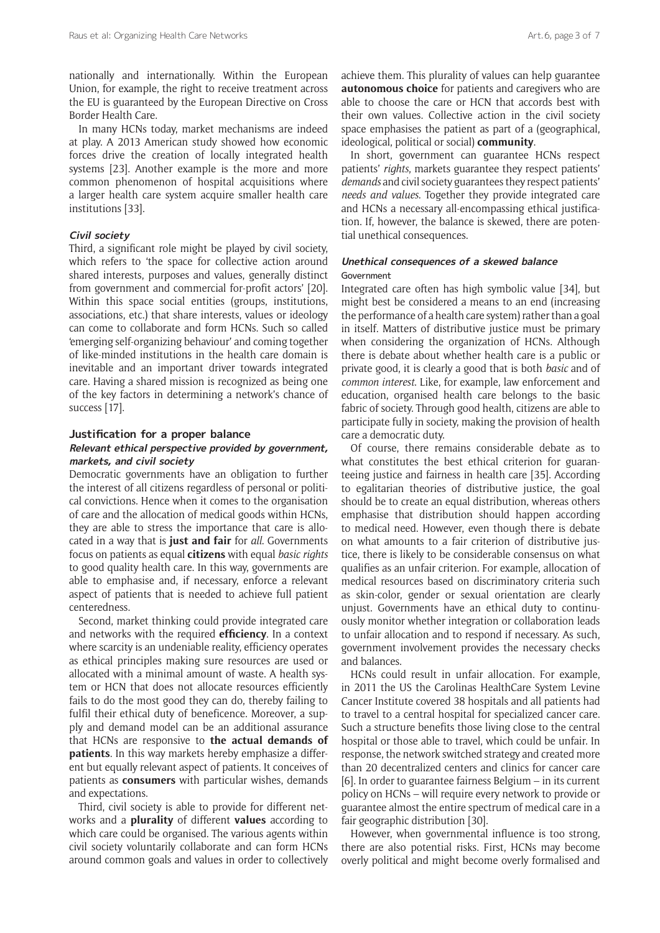nationally and internationally. Within the European Union, for example, the right to receive treatment across the EU is guaranteed by the European Directive on Cross Border Health Care.

In many HCNs today, market mechanisms are indeed at play. A 2013 American study showed how economic forces drive the creation of locally integrated health systems [23]. Another example is the more and more common phenomenon of hospital acquisitions where a larger health care system acquire smaller health care institutions [33].

## **Civil society**

Third, a significant role might be played by civil society, which refers to 'the space for collective action around shared interests, purposes and values, generally distinct from government and commercial for-profit actors' [20]. Within this space social entities (groups, institutions, associations, etc.) that share interests, values or ideology can come to collaborate and form HCNs. Such so called 'emerging self-organizing behaviour' and coming together of like-minded institutions in the health care domain is inevitable and an important driver towards integrated care. Having a shared mission is recognized as being one of the key factors in determining a network's chance of success [17].

### **Justification for a proper balance**

## **Relevant ethical perspective provided by government, markets, and civil society**

Democratic governments have an obligation to further the interest of all citizens regardless of personal or political convictions. Hence when it comes to the organisation of care and the allocation of medical goods within HCNs, they are able to stress the importance that care is allocated in a way that is **just and fair** for *all*. Governments focus on patients as equal **citizens** with equal *basic rights* to good quality health care. In this way, governments are able to emphasise and, if necessary, enforce a relevant aspect of patients that is needed to achieve full patient centeredness.

Second, market thinking could provide integrated care and networks with the required **efficiency**. In a context where scarcity is an undeniable reality, efficiency operates as ethical principles making sure resources are used or allocated with a minimal amount of waste. A health system or HCN that does not allocate resources efficiently fails to do the most good they can do, thereby failing to fulfil their ethical duty of beneficence. Moreover, a supply and demand model can be an additional assurance that HCNs are responsive to **the actual demands of patients**. In this way markets hereby emphasize a different but equally relevant aspect of patients. It conceives of patients as **consumers** with particular wishes, demands and expectations.

Third, civil society is able to provide for different networks and a **plurality** of different **values** according to which care could be organised. The various agents within civil society voluntarily collaborate and can form HCNs around common goals and values in order to collectively achieve them. This plurality of values can help guarantee **autonomous choice** for patients and caregivers who are able to choose the care or HCN that accords best with their own values. Collective action in the civil society space emphasises the patient as part of a (geographical, ideological, political or social) **community**.

In short, government can guarantee HCNs respect patients' *rights*, markets guarantee they respect patients' *demands* and civil society guarantees they respect patients' *needs and values*. Together they provide integrated care and HCNs a necessary all-encompassing ethical justification. If, however, the balance is skewed, there are potential unethical consequences.

## **Unethical consequences of a skewed balance** Government

Integrated care often has high symbolic value [34], but might best be considered a means to an end (increasing the performance of a health care system) rather than a goal in itself. Matters of distributive justice must be primary when considering the organization of HCNs. Although there is debate about whether health care is a public or private good, it is clearly a good that is both *basic* and of *common interest*. Like, for example, law enforcement and education, organised health care belongs to the basic fabric of society. Through good health, citizens are able to participate fully in society, making the provision of health care a democratic duty.

Of course, there remains considerable debate as to what constitutes the best ethical criterion for guaranteeing justice and fairness in health care [35]. According to egalitarian theories of distributive justice, the goal should be to create an equal distribution, whereas others emphasise that distribution should happen according to medical need. However, even though there is debate on what amounts to a fair criterion of distributive justice, there is likely to be considerable consensus on what qualifies as an unfair criterion. For example, allocation of medical resources based on discriminatory criteria such as skin-color, gender or sexual orientation are clearly unjust. Governments have an ethical duty to continuously monitor whether integration or collaboration leads to unfair allocation and to respond if necessary. As such, government involvement provides the necessary checks and balances.

HCNs could result in unfair allocation. For example, in 2011 the US the Carolinas HealthCare System Levine Cancer Institute covered 38 hospitals and all patients had to travel to a central hospital for specialized cancer care. Such a structure benefits those living close to the central hospital or those able to travel, which could be unfair. In response, the network switched strategy and created more than 20 decentralized centers and clinics for cancer care [6]. In order to guarantee fairness Belgium – in its current policy on HCNs – will require every network to provide or guarantee almost the entire spectrum of medical care in a fair geographic distribution [30].

However, when governmental influence is too strong, there are also potential risks. First, HCNs may become overly political and might become overly formalised and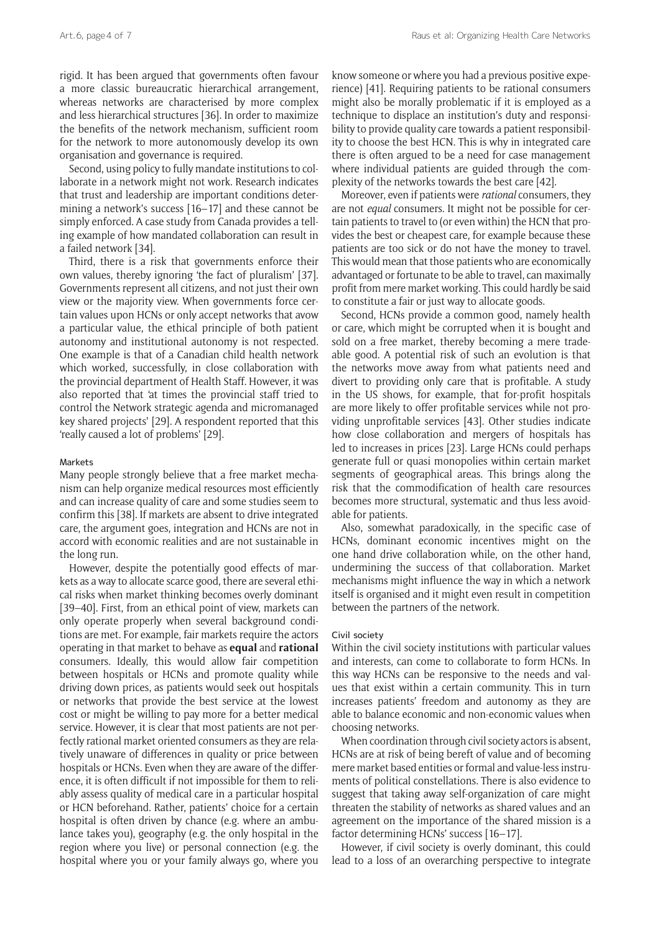rigid. It has been argued that governments often favour a more classic bureaucratic hierarchical arrangement, whereas networks are characterised by more complex and less hierarchical structures [36]. In order to maximize the benefits of the network mechanism, sufficient room for the network to more autonomously develop its own organisation and governance is required.

Second, using policy to fully mandate institutions to collaborate in a network might not work. Research indicates that trust and leadership are important conditions determining a network's success [16–17] and these cannot be simply enforced. A case study from Canada provides a telling example of how mandated collaboration can result in a failed network [34].

Third, there is a risk that governments enforce their own values, thereby ignoring 'the fact of pluralism' [37]. Governments represent all citizens, and not just their own view or the majority view. When governments force certain values upon HCNs or only accept networks that avow a particular value, the ethical principle of both patient autonomy and institutional autonomy is not respected. One example is that of a Canadian child health network which worked, successfully, in close collaboration with the provincial department of Health Staff. However, it was also reported that 'at times the provincial staff tried to control the Network strategic agenda and micromanaged key shared projects' [29]. A respondent reported that this 'really caused a lot of problems' [29].

#### **Markets**

Many people strongly believe that a free market mechanism can help organize medical resources most efficiently and can increase quality of care and some studies seem to confirm this [38]. If markets are absent to drive integrated care, the argument goes, integration and HCNs are not in accord with economic realities and are not sustainable in the long run.

However, despite the potentially good effects of markets as a way to allocate scarce good, there are several ethical risks when market thinking becomes overly dominant [39–40]. First, from an ethical point of view, markets can only operate properly when several background conditions are met. For example, fair markets require the actors operating in that market to behave as **equal** and **rational** consumers. Ideally, this would allow fair competition between hospitals or HCNs and promote quality while driving down prices, as patients would seek out hospitals or networks that provide the best service at the lowest cost or might be willing to pay more for a better medical service. However, it is clear that most patients are not perfectly rational market oriented consumers as they are relatively unaware of differences in quality or price between hospitals or HCNs. Even when they are aware of the difference, it is often difficult if not impossible for them to reliably assess quality of medical care in a particular hospital or HCN beforehand. Rather, patients' choice for a certain hospital is often driven by chance (e.g. where an ambulance takes you), geography (e.g. the only hospital in the region where you live) or personal connection (e.g. the hospital where you or your family always go, where you

know someone or where you had a previous positive experience) [41]. Requiring patients to be rational consumers might also be morally problematic if it is employed as a technique to displace an institution's duty and responsibility to provide quality care towards a patient responsibility to choose the best HCN. This is why in integrated care there is often argued to be a need for case management where individual patients are guided through the complexity of the networks towards the best care [42].

Moreover, even if patients were *rational* consumers, they are not *equal* consumers. It might not be possible for certain patients to travel to (or even within) the HCN that provides the best or cheapest care, for example because these patients are too sick or do not have the money to travel. This would mean that those patients who are economically advantaged or fortunate to be able to travel, can maximally profit from mere market working. This could hardly be said to constitute a fair or just way to allocate goods.

Second, HCNs provide a common good, namely health or care, which might be corrupted when it is bought and sold on a free market, thereby becoming a mere tradeable good. A potential risk of such an evolution is that the networks move away from what patients need and divert to providing only care that is profitable. A study in the US shows, for example, that for-profit hospitals are more likely to offer profitable services while not providing unprofitable services [43]. Other studies indicate how close collaboration and mergers of hospitals has led to increases in prices [23]. Large HCNs could perhaps generate full or quasi monopolies within certain market segments of geographical areas. This brings along the risk that the commodification of health care resources becomes more structural, systematic and thus less avoidable for patients.

Also, somewhat paradoxically, in the specific case of HCNs, dominant economic incentives might on the one hand drive collaboration while, on the other hand, undermining the success of that collaboration. Market mechanisms might influence the way in which a network itself is organised and it might even result in competition between the partners of the network.

## Civil society

Within the civil society institutions with particular values and interests, can come to collaborate to form HCNs. In this way HCNs can be responsive to the needs and values that exist within a certain community. This in turn increases patients' freedom and autonomy as they are able to balance economic and non-economic values when choosing networks.

When coordination through civil society actors is absent, HCNs are at risk of being bereft of value and of becoming mere market based entities or formal and value-less instruments of political constellations. There is also evidence to suggest that taking away self-organization of care might threaten the stability of networks as shared values and an agreement on the importance of the shared mission is a factor determining HCNs' success [16–17].

However, if civil society is overly dominant, this could lead to a loss of an overarching perspective to integrate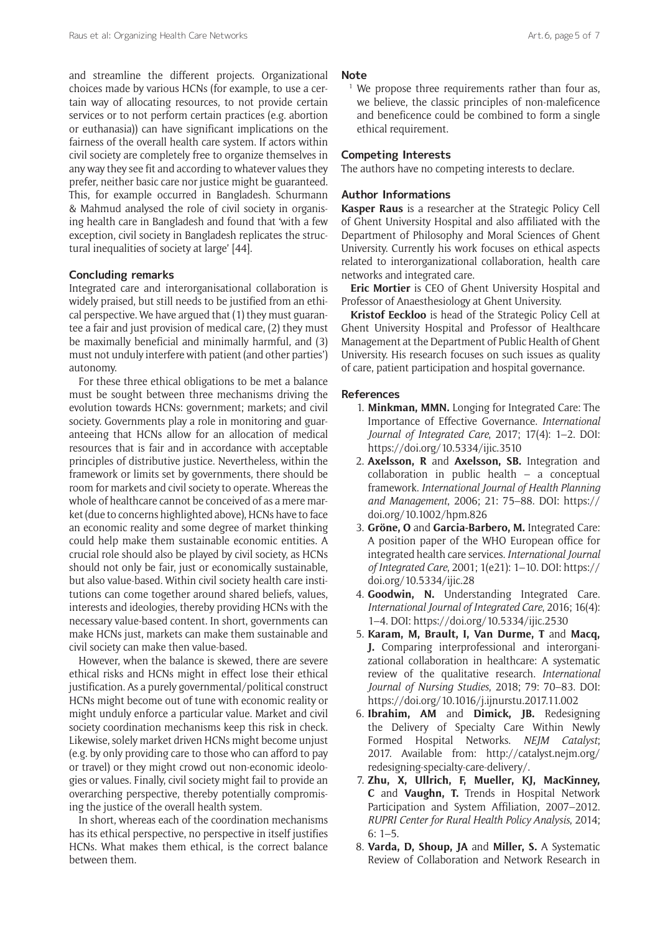and streamline the different projects. Organizational choices made by various HCNs (for example, to use a certain way of allocating resources, to not provide certain services or to not perform certain practices (e.g. abortion or euthanasia)) can have significant implications on the fairness of the overall health care system. If actors within civil society are completely free to organize themselves in any way they see fit and according to whatever values they prefer, neither basic care nor justice might be guaranteed. This, for example occurred in Bangladesh. Schurmann & Mahmud analysed the role of civil society in organising health care in Bangladesh and found that 'with a few exception, civil society in Bangladesh replicates the structural inequalities of society at large' [44].

## **Concluding remarks**

Integrated care and interorganisational collaboration is widely praised, but still needs to be justified from an ethical perspective. We have argued that (1) they must guarantee a fair and just provision of medical care, (2) they must be maximally beneficial and minimally harmful, and (3) must not unduly interfere with patient (and other parties') autonomy.

For these three ethical obligations to be met a balance must be sought between three mechanisms driving the evolution towards HCNs: government; markets; and civil society. Governments play a role in monitoring and guaranteeing that HCNs allow for an allocation of medical resources that is fair and in accordance with acceptable principles of distributive justice. Nevertheless, within the framework or limits set by governments, there should be room for markets and civil society to operate. Whereas the whole of healthcare cannot be conceived of as a mere market (due to concerns highlighted above), HCNs have to face an economic reality and some degree of market thinking could help make them sustainable economic entities. A crucial role should also be played by civil society, as HCNs should not only be fair, just or economically sustainable, but also value-based. Within civil society health care institutions can come together around shared beliefs, values, interests and ideologies, thereby providing HCNs with the necessary value-based content. In short, governments can make HCNs just, markets can make them sustainable and civil society can make then value-based.

However, when the balance is skewed, there are severe ethical risks and HCNs might in effect lose their ethical justification. As a purely governmental/political construct HCNs might become out of tune with economic reality or might unduly enforce a particular value. Market and civil society coordination mechanisms keep this risk in check. Likewise, solely market driven HCNs might become unjust (e.g. by only providing care to those who can afford to pay or travel) or they might crowd out non-economic ideologies or values. Finally, civil society might fail to provide an overarching perspective, thereby potentially compromising the justice of the overall health system.

In short, whereas each of the coordination mechanisms has its ethical perspective, no perspective in itself justifies HCNs. What makes them ethical, is the correct balance between them.

### **Note**

<sup>1</sup> We propose three requirements rather than four as, we believe, the classic principles of non-maleficence and beneficence could be combined to form a single ethical requirement.

### **Competing Interests**

The authors have no competing interests to declare.

## **Author Informations**

**Kasper Raus** is a researcher at the Strategic Policy Cell of Ghent University Hospital and also affiliated with the Department of Philosophy and Moral Sciences of Ghent University. Currently his work focuses on ethical aspects related to interorganizational collaboration, health care networks and integrated care.

**Eric Mortier** is CEO of Ghent University Hospital and Professor of Anaesthesiology at Ghent University.

**Kristof Eeckloo** is head of the Strategic Policy Cell at Ghent University Hospital and Professor of Healthcare Management at the Department of Public Health of Ghent University. His research focuses on such issues as quality of care, patient participation and hospital governance.

### **References**

- 1. **Minkman, MMN.** Longing for Integrated Care: The Importance of Effective Governance. *International Journal of Integrated Care*, 2017; 17(4): 1–2. DOI: <https://doi.org/10.5334/ijic.3510>
- 2. **Axelsson, R** and **Axelsson, SB.** Integration and collaboration in public health – a conceptual framework. *International Journal of Health Planning and Management*, 2006; 21: 75–88. DOI: [https://](https://doi.org/10.1002/hpm.826) [doi.org/10.1002/hpm.826](https://doi.org/10.1002/hpm.826)
- 3. **Gröne, O** and **Garcia-Barbero, M.** Integrated Care: A position paper of the WHO European office for integrated health care services. *International Journal of Integrated Care*, 2001; 1(e21): 1–10. DOI: [https://](https://doi.org/10.5334/ijic.28) [doi.org/10.5334/ijic.28](https://doi.org/10.5334/ijic.28)
- 4. **Goodwin, N.** Understanding Integrated Care. *International Journal of Integrated Care*, 2016; 16(4): 1–4. DOI:<https://doi.org/10.5334/ijic.2530>
- 5. **Karam, M, Brault, I, Van Durme, T** and **Macq, J.** Comparing interprofessional and interorganizational collaboration in healthcare: A systematic review of the qualitative research. *International Journal of Nursing Studies*, 2018; 79: 70–83. DOI: <https://doi.org/10.1016/j.ijnurstu.2017.11.002>
- 6. **Ibrahim, AM** and **Dimick, JB.** Redesigning the Delivery of Specialty Care Within Newly Formed Hospital Networks. *NEJM Catalyst*; 2017. Available from: [http://catalyst.nejm.org/](http://catalyst.nejm.org/redesigning-specialty-care-delivery/) [redesigning-specialty-care-delivery/](http://catalyst.nejm.org/redesigning-specialty-care-delivery/).
- 7. **Zhu, X, Ullrich, F, Mueller, KJ, MacKinney, C** and **Vaughn, T.** Trends in Hospital Network Participation and System Affiliation, 2007–2012. *RUPRI Center for Rural Health Policy Analysis*, 2014; 6: 1–5.
- 8. **Varda, D, Shoup, JA** and **Miller, S.** A Systematic Review of Collaboration and Network Research in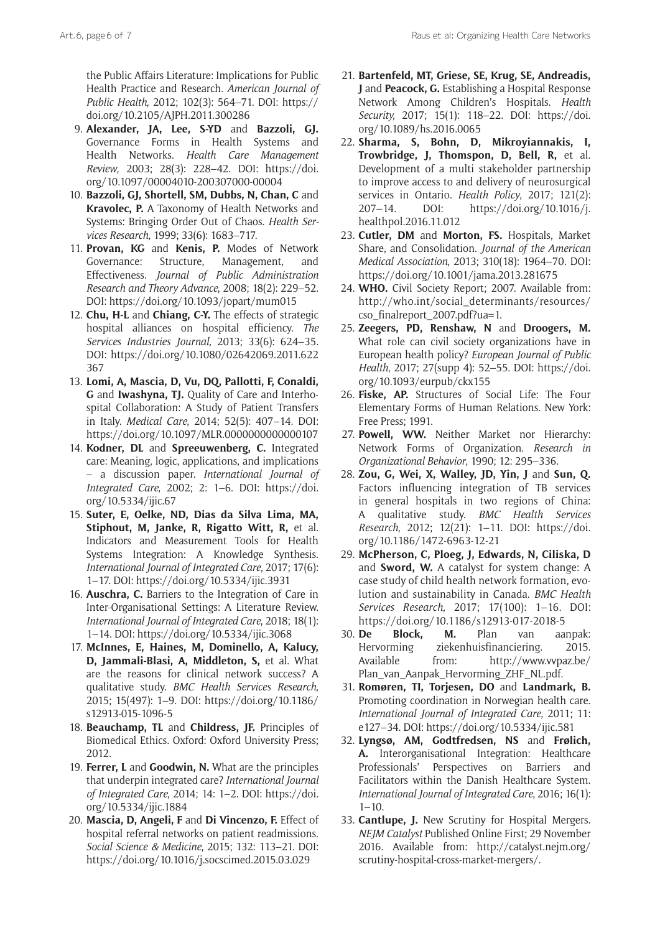Art.6, page6 of 7 and 2008 and 2009 and 2009 and 2009 and 2009 and 2009 and 2009 and 2009 and 2009 and 2009 and 2009 and 2009 and 2009 and 2009 and 2009 and 2009 and 2009 and 2009 and 2009 and 2009 and 2009 and 2009 and 20

the Public Affairs Literature: Implications for Public Health Practice and Research. *American Journal of Public Health*, 2012; 102(3): 564–71. DOI: [https://](https://doi.org/10.2105/AJPH.2011.300286) [doi.org/10.2105/AJPH.2011.300286](https://doi.org/10.2105/AJPH.2011.300286)

- 9. **Alexander, JA, Lee, S-YD** and **Bazzoli, GJ.** Governance Forms in Health Systems and Health Networks. *Health Care Management Review*, 2003; 28(3): 228–42. DOI: [https://doi.](https://doi.org/10.1097/00004010-200307000-00004) [org/10.1097/00004010-200307000-00004](https://doi.org/10.1097/00004010-200307000-00004)
- 10. **Bazzoli, GJ, Shortell, SM, Dubbs, N, Chan, C** and **Kravolec, P.** A Taxonomy of Health Networks and Systems: Bringing Order Out of Chaos. *Health Services Research*, 1999; 33(6): 1683–717.
- 11. **Provan, KG** and **Kenis, P.** Modes of Network Governance: Structure, Management, and Effectiveness. *Journal of Public Administration Research and Theory Advance*, 2008; 18(2): 229–52. DOI: <https://doi.org/10.1093/jopart/mum015>
- 12. **Chu, H-L** and **Chiang, C-Y.** The effects of strategic hospital alliances on hospital efficiency. *The Services Industries Journal*, 2013; 33(6): 624–35. DOI: [https://doi.org/10.1080/02642069.2011.622](https://doi.org/10.1080/02642069.2011.622367) [367](https://doi.org/10.1080/02642069.2011.622367)
- 13. **Lomi, A, Mascia, D, Vu, DQ, Pallotti, F, Conaldi, G** and **Iwashyna, TJ.** Quality of Care and Interhospital Collaboration: A Study of Patient Transfers in Italy. *Medical Care*, 2014; 52(5): 407–14. DOI: <https://doi.org/10.1097/MLR.0000000000000107>
- 14. **Kodner, DL** and **Spreeuwenberg, C.** Integrated care: Meaning, logic, applications, and implications – a discussion paper. *International Journal of Integrated Care*, 2002; 2: 1–6. DOI: [https://doi.](https://doi.org/10.5334/ijic.67) [org/10.5334/ijic.67](https://doi.org/10.5334/ijic.67)
- 15. **Suter, E, Oelke, ND, Dias da Silva Lima, MA, Stiphout, M, Janke, R, Rigatto Witt, R,** et al. Indicators and Measurement Tools for Health Systems Integration: A Knowledge Synthesis. *International Journal of Integrated Care*, 2017; 17(6): 1–17. DOI: <https://doi.org/10.5334/ijic.3931>
- 16. **Auschra, C.** Barriers to the Integration of Care in Inter-Organisational Settings: A Literature Review. *International Journal of Integrated Care*, 2018; 18(1): 1–14. DOI: <https://doi.org/10.5334/ijic.3068>
- 17. **McInnes, E, Haines, M, Dominello, A, Kalucy, D, Jammali-Blasi, A, Middleton, S,** et al. What are the reasons for clinical network success? A qualitative study. *BMC Health Services Research*, 2015; 15(497): 1–9. DOI: [https://doi.org/10.1186/](https://doi.org/10.1186/s12913-015-1096-5) [s12913-015-1096-5](https://doi.org/10.1186/s12913-015-1096-5)
- 18. **Beauchamp, TL** and **Childress, JF.** Principles of Biomedical Ethics. Oxford: Oxford University Press; 2012.
- 19. **Ferrer, L** and **Goodwin, N.** What are the principles that underpin integrated care? *International Journal of Integrated Care*, 2014; 14: 1–2. DOI: [https://doi.](https://doi.org/10.5334/ijic.1884) [org/10.5334/ijic.1884](https://doi.org/10.5334/ijic.1884)
- 20. **Mascia, D, Angeli, F** and **Di Vincenzo, F.** Effect of hospital referral networks on patient readmissions. *Social Science & Medicine*, 2015; 132: 113–21. DOI: <https://doi.org/10.1016/j.socscimed.2015.03.029>
- 21. **Bartenfeld, MT, Griese, SE, Krug, SE, Andreadis, J** and **Peacock, G.** Establishing a Hospital Response Network Among Children's Hospitals. *Health Security,* 2017; 15(1): 118–22. DOI: [https://doi.](https://doi.org/10.1089/hs.2016.0065) [org/10.1089/hs.2016.0065](https://doi.org/10.1089/hs.2016.0065)
- 22. **Sharma, S, Bohn, D, Mikroyiannakis, I, Trowbridge, J, Thomspon, D, Bell, R,** et al. Development of a multi stakeholder partnership to improve access to and delivery of neurosurgical services in Ontario. *Health Policy*, 2017; 121(2): 207–14. DOI: [https://doi.org/10.1016/j.](https://doi.org/10.1016/j.healthpol.2016.11.012) [healthpol.2016.11.012](https://doi.org/10.1016/j.healthpol.2016.11.012)
- 23. **Cutler, DM** and **Morton, FS.** Hospitals, Market Share, and Consolidation. *Journal of the American Medical Association*, 2013; 310(18): 1964–70. DOI: <https://doi.org/10.1001/jama.2013.281675>
- 24. **WHO.** Civil Society Report; 2007. Available from: [http://who.int/social\\_determinants/resources/](http://who.int/social_determinants/resources/cso_finalreport_2007.pdf?ua=1) [cso\\_finalreport\\_2007.pdf?ua=1.](http://who.int/social_determinants/resources/cso_finalreport_2007.pdf?ua=1)
- 25. **Zeegers, PD, Renshaw, N** and **Droogers, M.** What role can civil society organizations have in European health policy? *European Journal of Public Health*, 2017; 27(supp 4): 52–55. DOI: [https://doi.](https://doi.org/10.1093/eurpub/ckx155) [org/10.1093/eurpub/ckx155](https://doi.org/10.1093/eurpub/ckx155)
- 26. **Fiske, AP.** Structures of Social Life: The Four Elementary Forms of Human Relations. New York: Free Press; 1991.
- 27. **Powell, WW.** Neither Market nor Hierarchy: Network Forms of Organization. *Research in Organizational Behavior*, 1990; 12: 295–336.
- 28. **Zou, G, Wei, X, Walley, JD, Yin, J** and **Sun, Q.**  Factors influencing integration of TB services in general hospitals in two regions of China: A qualitative study. *BMC Health Services Research*, 2012; 12(21): 1–11. DOI: [https://doi.](https://doi.org/10.1186/1472-6963-12-21) [org/10.1186/1472-6963-12-21](https://doi.org/10.1186/1472-6963-12-21)
- 29. **McPherson, C, Ploeg, J, Edwards, N, Ciliska, D**  and **Sword, W.** A catalyst for system change: A case study of child health network formation, evolution and sustainability in Canada. *BMC Health Services Research*, 2017; 17(100): 1–16. DOI: <https://doi.org/10.1186/s12913-017-2018-5>
- 30. **De Block, M.** Plan van aanpak: Hervorming ziekenhuisfinanciering. 2015. Available from: [http://www.vvpaz.be/](http://www.vvpaz.be/Plan_van_Aanpak_Hervorming_ZHF_NL.pdf) [Plan\\_van\\_Aanpak\\_Hervorming\\_ZHF\\_NL.pdf](http://www.vvpaz.be/Plan_van_Aanpak_Hervorming_ZHF_NL.pdf).
- 31. **Romøren, TI, Torjesen, DO** and **Landmark, B.** Promoting coordination in Norwegian health care. *International Journal of Integrated Care*, 2011; 11: e127–34. DOI: <https://doi.org/10.5334/ijic.581>
- 32. **Lyngsø, AM, Godtfredsen, NS** and **Frølich, A.** Interorganisational Integration: Healthcare Professionals' Perspectives on Barriers and Facilitators within the Danish Healthcare System. *International Journal of Integrated Care*, 2016; 16(1):  $1 - 10$ .
- 33. **Cantlupe, J.** New Scrutiny for Hospital Mergers. *NEJM Catalyst* Published Online First; 29 November 2016. Available from: [http://catalyst.nejm.org/](http://catalyst.nejm.org/scrutiny-hospital-cross-market-mergers/) [scrutiny-hospital-cross-market-mergers/.](http://catalyst.nejm.org/scrutiny-hospital-cross-market-mergers/)